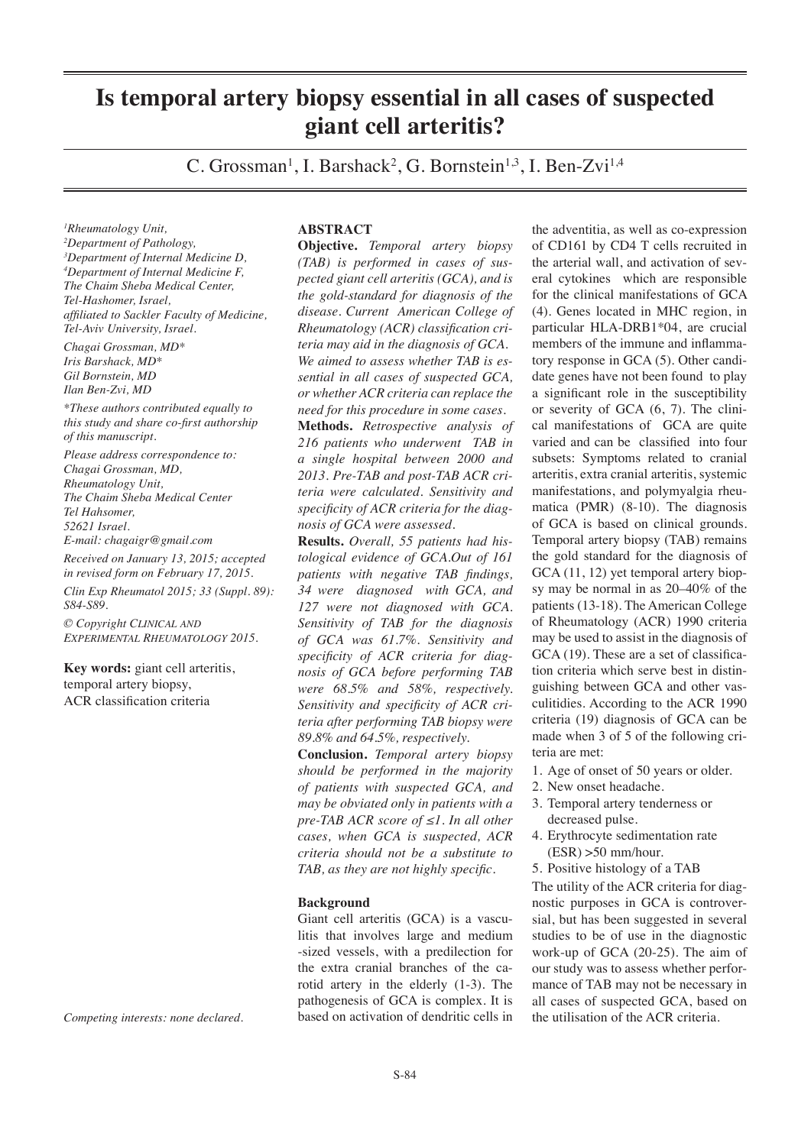# **Is temporal artery biopsy essential in all cases of suspected giant cell arteritis?**

C. Grossman<sup>1</sup>, I. Barshack<sup>2</sup>, G. Bornstein<sup>1,3</sup>, I. Ben-Zvi<sup>1,4</sup>

*1 Rheumatology Unit, 2 Department of Pathology, 3 Department of Internal Medicine D, 4 Department of Internal Medicine F, The Chaim Sheba Medical Center, Tel-Hashomer, Israel, affiliated to Sackler Faculty of Medicine, Tel-Aviv University, Israel.*

*Chagai Grossman, MD\* Iris Barshack, MD\* Gil Bornstein, MD Ilan Ben-Zvi, MD*

*\*These authors contributed equally to this study and share co-first authorship of this manuscript.* 

*Please address correspondence to: Chagai Grossman, MD, Rheumatology Unit, The Chaim Sheba Medical Center Tel Hahsomer, 52621 Israel. E-mail: chagaigr@gmail.com*

*Received on January 13, 2015; accepted in revised form on February 17, 2015.*

*Clin Exp Rheumatol 2015; 33 (Suppl. 89): S84-S89.*

*© Copyright Clinical and Experimental Rheumatology 2015.*

**Key words:** giant cell arteritis, temporal artery biopsy, ACR classification criteria

*Competing interests: none declared.*

# **ABSTRACT**

**Objective.** *Temporal artery biopsy (TAB) is performed in cases of suspected giant cell arteritis (GCA), and is the gold-standard for diagnosis of the disease. Current American College of Rheumatology (ACR) classification criteria may aid in the diagnosis of GCA. We aimed to assess whether TAB is essential in all cases of suspected GCA, or whether ACR criteria can replace the need for this procedure in some cases.* 

**Methods.** *Retrospective analysis of 216 patients who underwent TAB in a single hospital between 2000 and 2013. Pre-TAB and post-TAB ACR criteria were calculated. Sensitivity and specificity of ACR criteria for the diagnosis of GCA were assessed.*

**Results.** *Overall, 55 patients had histological evidence of GCA.Out of 161 patients with negative TAB findings, 34 were diagnosed with GCA, and 127 were not diagnosed with GCA. Sensitivity of TAB for the diagnosis of GCA was 61.7%. Sensitivity and specificity of ACR criteria for diagnosis of GCA before performing TAB were 68.5% and 58%, respectively. Sensitivity and specificity of ACR criteria after performing TAB biopsy were 89.8% and 64.5%, respectively.* 

**Conclusion.** *Temporal artery biopsy should be performed in the majority of patients with suspected GCA, and may be obviated only in patients with a pre-TAB ACR score of ≤1. In all other cases, when GCA is suspected, ACR criteria should not be a substitute to TAB, as they are not highly specific.*

## **Background**

Giant cell arteritis (GCA) is a vasculitis that involves large and medium -sized vessels, with a predilection for the extra cranial branches of the carotid artery in the elderly (1-3). The pathogenesis of GCA is complex. It is based on activation of dendritic cells in

the adventitia, as well as co-expression of CD161 by CD4 T cells recruited in the arterial wall, and activation of several cytokines which are responsible for the clinical manifestations of GCA (4). Genes located in MHC region, in particular HLA-DRB1\*04, are crucial members of the immune and inflammatory response in GCA (5). Other candidate genes have not been found to play a significant role in the susceptibility or severity of GCA (6, 7). The clinical manifestations of GCA are quite varied and can be classified into four subsets: Symptoms related to cranial arteritis, extra cranial arteritis, systemic manifestations, and polymyalgia rheumatica (PMR) (8-10). The diagnosis of GCA is based on clinical grounds. Temporal artery biopsy (TAB) remains the gold standard for the diagnosis of GCA  $(11, 12)$  yet temporal artery biopsy may be normal in as 20–40% of the patients (13-18). The American College of Rheumatology (ACR) 1990 criteria may be used to assist in the diagnosis of GCA (19). These are a set of classification criteria which serve best in distinguishing between GCA and other vasculitidies. According to the ACR 1990 criteria (19) diagnosis of GCA can be made when 3 of 5 of the following criteria are met:

- 1. Age of onset of 50 years or older.
- 2. New onset headache.
- 3. Temporal artery tenderness or decreased pulse.
- 4. Erythrocyte sedimentation rate  $(ESR) > 50$  mm/hour.
- 5. Positive histology of a TAB

The utility of the ACR criteria for diagnostic purposes in GCA is controversial, but has been suggested in several studies to be of use in the diagnostic work-up of GCA (20-25). The aim of our study was to assess whether performance of TAB may not be necessary in all cases of suspected GCA, based on the utilisation of the ACR criteria.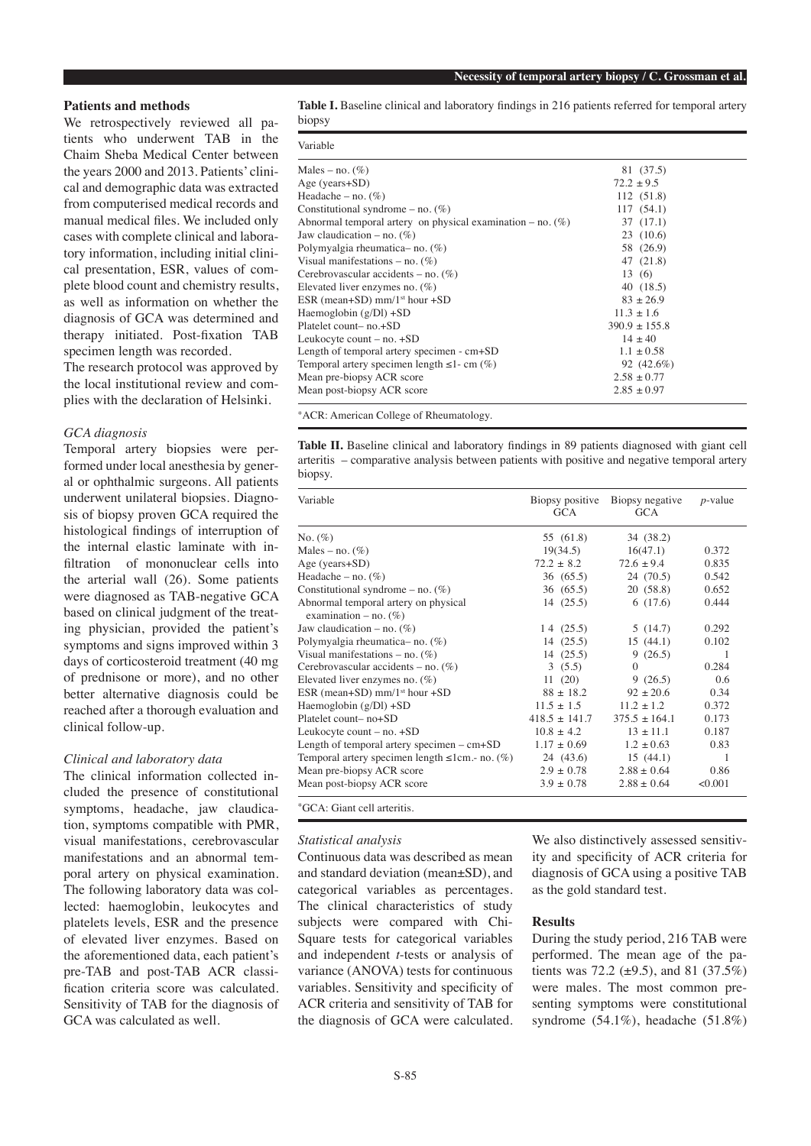# **Patients and methods**

We retrospectively reviewed all patients who underwent TAB in the Chaim Sheba Medical Center between the years 2000 and 2013. Patients' clinical and demographic data was extracted from computerised medical records and manual medical files. We included only cases with complete clinical and laboratory information, including initial clinical presentation, ESR, values of complete blood count and chemistry results, as well as information on whether the diagnosis of GCA was determined and therapy initiated. Post-fixation TAB specimen length was recorded.

The research protocol was approved by the local institutional review and complies with the declaration of Helsinki.

## *GCA diagnosis*

Temporal artery biopsies were performed under local anesthesia by general or ophthalmic surgeons. All patients underwent unilateral biopsies. Diagnosis of biopsy proven GCA required the histological findings of interruption of the internal elastic laminate with infiltration of mononuclear cells into the arterial wall (26). Some patients were diagnosed as TAB-negative GCA based on clinical judgment of the treating physician, provided the patient's symptoms and signs improved within 3 days of corticosteroid treatment (40 mg of prednisone or more), and no other better alternative diagnosis could be reached after a thorough evaluation and clinical follow-up.

#### *Clinical and laboratory data*

The clinical information collected included the presence of constitutional symptoms, headache, jaw claudication, symptoms compatible with PMR, visual manifestations, cerebrovascular manifestations and an abnormal temporal artery on physical examination. The following laboratory data was collected: haemoglobin, leukocytes and platelets levels, ESR and the presence of elevated liver enzymes. Based on the aforementioned data, each patient's pre-TAB and post-TAB ACR classification criteria score was calculated. Sensitivity of TAB for the diagnosis of GCA was calculated as well.

**Table I.** Baseline clinical and laboratory findings in 216 patients referred for temporal artery biopsy

| Variable                                                        |                   |  |
|-----------------------------------------------------------------|-------------------|--|
| Males – no. $(\%)$                                              | 81 (37.5)         |  |
| Age (years+SD)                                                  | $72.2 + 9.5$      |  |
| Headache – no. $(\%)$                                           | 112 (51.8)        |  |
| Constitutional syndrome – no. $(\%)$                            | 117(54.1)         |  |
| Abnormal temporal artery on physical examination $-$ no. $(\%)$ | 37(17.1)          |  |
| Jaw claudication – no. $(\%)$                                   | 23(10.6)          |  |
| Polymyalgia rheumatica-no. (%)                                  | 58 (26.9)         |  |
| Visual manifestations – no. $(\%)$                              | 47 (21.8)         |  |
| Cerebrovascular accidents – no. $(\%)$                          | 13(6)             |  |
| Elevated liver enzymes no. $(\%)$                               | 40(18.5)          |  |
| ESR (mean+SD) mm/1 <sup>st</sup> hour +SD                       | $83 + 26.9$       |  |
| Haemoglobin (g/Dl) +SD                                          | $11.3 + 1.6$      |  |
| Platelet count-no.+SD                                           | $390.9 \pm 155.8$ |  |
| Leukocyte count – no. +SD                                       | $14 + 40$         |  |
| Length of temporal artery specimen - cm+SD                      | $1.1 \pm 0.58$    |  |
| Temporal artery specimen length $\leq 1$ - cm $(\%)$            | 92 (42.6%)        |  |
| Mean pre-biopsy ACR score                                       | $2.58 + 0.77$     |  |
| Mean post-biopsy ACR score                                      | $2.85 \pm 0.97$   |  |

\*ACR: American College of Rheumatology.

**Table II.** Baseline clinical and laboratory findings in 89 patients diagnosed with giant cell arteritis – comparative analysis between patients with positive and negative temporal artery biopsy.

| Variable                                                         | Biopsy positive<br><b>GCA</b> | Biopsy negative<br><b>GCA</b> | $p$ -value |
|------------------------------------------------------------------|-------------------------------|-------------------------------|------------|
| No. $(\%)$                                                       | 55 (61.8)                     | 34 (38.2)                     |            |
| Males – no. $(\%)$                                               | 19(34.5)                      | 16(47.1)                      | 0.372      |
| Age ( $years+SD$ )                                               | $72.2 \pm 8.2$                | $72.6 \pm 9.4$                | 0.835      |
| Headache – no. $(\%)$                                            | 36 (65.5)                     | 24 (70.5)                     | 0.542      |
| Constitutional syndrome – no. $(\%)$                             | 36(65.5)                      | 20(58.8)                      | 0.652      |
| Abnormal temporal artery on physical<br>examination – no. $(\%)$ | 14(25.5)                      | 6(17.6)                       | 0.444      |
| Jaw claudication – no. $(\%)$                                    | 14(25.5)                      | 5(14.7)                       | 0.292      |
| Polymyalgia rheumatica-no. $(\%)$                                | 14(25.5)                      | 15(44.1)                      | 0.102      |
| Visual manifestations – no. $(\%)$                               | 14(25.5)                      | 9(26.5)                       | 1          |
| Cerebrovascular accidents – no. $(\%)$                           | 3(5.5)                        | $\Omega$                      | 0.284      |
| Elevated liver enzymes no. $(\%)$                                | 11(20)                        | 9(26.5)                       | 0.6        |
| ESR (mean+SD) $mm/1st hour + SD$                                 | $88 + 18.2$                   | $92 + 20.6$                   | 0.34       |
| Haemoglobin $(g/Dl)$ +SD                                         | $11.5 \pm 1.5$                | $11.2 + 1.2$                  | 0.372      |
| $Platelet count-no+SD$                                           | $418.5 \pm 141.7$             | $375.5 + 164.1$               | 0.173      |
| Leukocyte count $-$ no. $+SD$                                    | $10.8 \pm 4.2$                | $13 \pm 11.1$                 | 0.187      |
| Length of temporal artery specimen $-$ cm+SD                     | $1.17 \pm 0.69$               | $1.2 \pm 0.63$                | 0.83       |
| Temporal artery specimen length $\leq 1$ cm.- no. (%)            | 24 (43.6)                     | 15(44.1)                      | 1          |
| Mean pre-biopsy ACR score                                        | $2.9 \pm 0.78$                | $2.88 + 0.64$                 | 0.86       |
| Mean post-biopsy ACR score                                       | $3.9 \pm 0.78$                | $2.88 + 0.64$                 | < 0.001    |
| *GCA: Giant cell arteritis.                                      |                               |                               |            |

*Statistical analysis* 

Continuous data was described as mean and standard deviation (mean±SD), and categorical variables as percentages. The clinical characteristics of study subjects were compared with Chi-Square tests for categorical variables and independent *t*-tests or analysis of variance (ANOVA) tests for continuous variables. Sensitivity and specificity of ACR criteria and sensitivity of TAB for the diagnosis of GCA were calculated.

We also distinctively assessed sensitivity and specificity of ACR criteria for diagnosis of GCA using a positive TAB as the gold standard test.

## **Results**

During the study period, 216 TAB were performed. The mean age of the patients was 72.2 ( $\pm$ 9.5), and 81 (37.5%) were males. The most common presenting symptoms were constitutional syndrome (54.1%), headache (51.8%)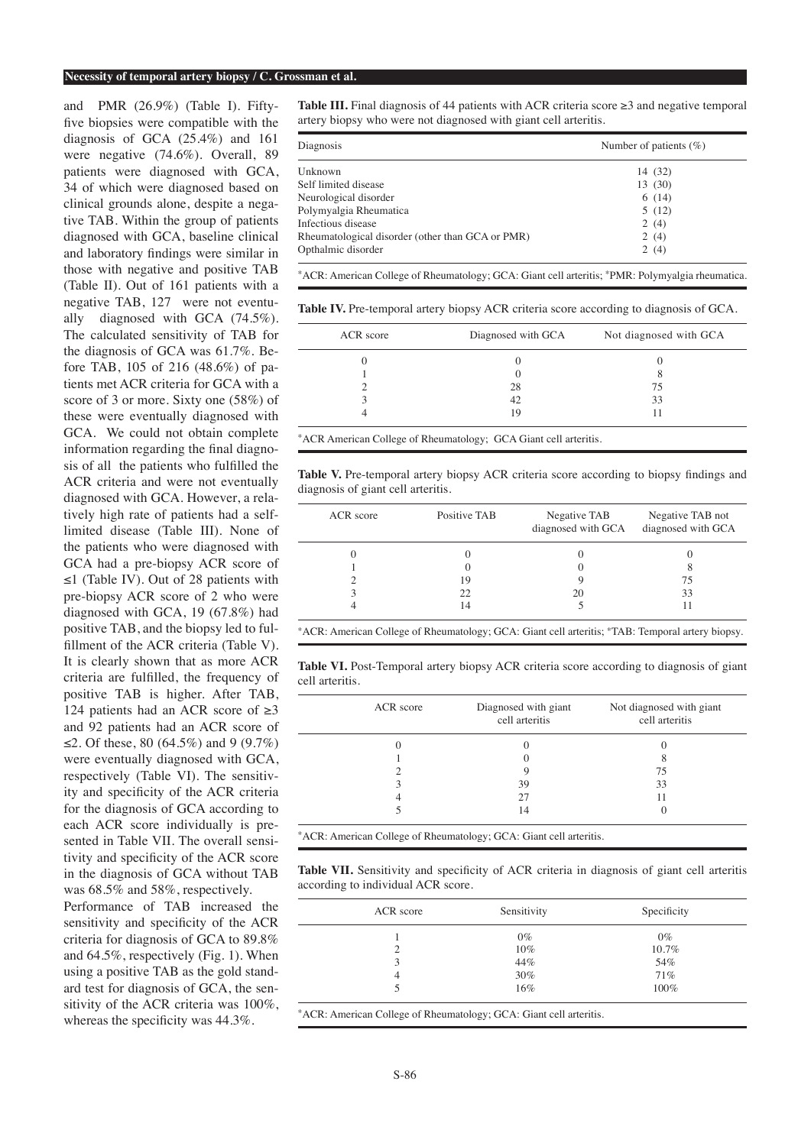#### **Necessity of temporal artery biopsy / C. Grossman et al.**

and PMR (26.9%) (Table I). Fiftyfive biopsies were compatible with the diagnosis of GCA (25.4%) and 161 were negative (74.6%). Overall, 89 patients were diagnosed with GCA, 34 of which were diagnosed based on clinical grounds alone, despite a negative TAB. Within the group of patients diagnosed with GCA, baseline clinical and laboratory findings were similar in those with negative and positive TAB (Table II). Out of 161 patients with a negative TAB, 127 were not eventually diagnosed with GCA (74.5%). The calculated sensitivity of TAB for the diagnosis of GCA was 61.7%. Before TAB, 105 of 216 (48.6%) of patients met ACR criteria for GCA with a score of 3 or more. Sixty one (58%) of these were eventually diagnosed with GCA. We could not obtain complete information regarding the final diagnosis of all the patients who fulfilled the ACR criteria and were not eventually diagnosed with GCA. However, a relatively high rate of patients had a selflimited disease (Table III). None of the patients who were diagnosed with GCA had a pre-biopsy ACR score of ≤1 (Table IV). Out of 28 patients with pre-biopsy ACR score of 2 who were diagnosed with GCA, 19 (67.8%) had positive TAB, and the biopsy led to fulfillment of the ACR criteria (Table V). It is clearly shown that as more ACR criteria are fulfilled, the frequency of positive TAB is higher. After TAB, 124 patients had an ACR score of  $\geq 3$ and 92 patients had an ACR score of ≤2. Of these, 80 (64.5%) and 9 (9.7%) were eventually diagnosed with GCA, respectively (Table VI). The sensitivity and specificity of the ACR criteria for the diagnosis of GCA according to each ACR score individually is presented in Table VII. The overall sensitivity and specificity of the ACR score in the diagnosis of GCA without TAB was 68.5% and 58%, respectively.

Performance of TAB increased the sensitivity and specificity of the ACR criteria for diagnosis of GCA to 89.8% and 64.5%, respectively (Fig. 1). When using a positive TAB as the gold standard test for diagnosis of GCA, the sensitivity of the ACR criteria was 100%, whereas the specificity was 44.3%.

**Table III.** Final diagnosis of 44 patients with ACR criteria score  $\geq 3$  and negative temporal artery biopsy who were not diagnosed with giant cell arteritis.

| Diagnosis                                        | Number of patients $(\%)$ |
|--------------------------------------------------|---------------------------|
| Unknown                                          | 14 (32)                   |
| Self limited disease                             | 13 (30)                   |
| Neurological disorder                            | 6(14)                     |
| Polymyalgia Rheumatica                           | 5(12)                     |
| Infectious disease                               | 2(4)                      |
| Rheumatological disorder (other than GCA or PMR) | 2(4)                      |
| Opthalmic disorder                               | 2(4)                      |

\*ACR: American College of Rheumatology; GCA: Giant cell arteritis; \*PMR: Polymyalgia rheumatica.

**Table IV.** Pre-temporal artery biopsy ACR criteria score according to diagnosis of GCA.

| Diagnosed with GCA | Not diagnosed with GCA |
|--------------------|------------------------|
|                    |                        |
|                    | Ω                      |
| 28                 | 75                     |
| 42                 | 33                     |
| 19                 |                        |
|                    |                        |

\*ACR American College of Rheumatology; GCA Giant cell arteritis.

**Table V.** Pre-temporal artery biopsy ACR criteria score according to biopsy findings and diagnosis of giant cell arteritis.

| ACR score | Positive TAB | Negative TAB<br>diagnosed with GCA | Negative TAB not<br>diagnosed with GCA |
|-----------|--------------|------------------------------------|----------------------------------------|
|           |              |                                    |                                        |
|           |              |                                    |                                        |
|           | 19           |                                    | 75                                     |
|           | 22           | 20                                 | 33                                     |
|           | 14           |                                    |                                        |

\*ACR: American College of Rheumatology; GCA: Giant cell arteritis; \*TAB: Temporal artery biopsy.

**Table VI.** Post-Temporal artery biopsy ACR criteria score according to diagnosis of giant cell arteritis.

| ACR score | Diagnosed with giant<br>cell arteritis | Not diagnosed with giant<br>cell arteritis |
|-----------|----------------------------------------|--------------------------------------------|
|           |                                        |                                            |
|           |                                        |                                            |
|           |                                        | 75                                         |
|           | 39                                     | 33                                         |
|           | 27                                     |                                            |
|           | 14                                     |                                            |

\*ACR: American College of Rheumatology; GCA: Giant cell arteritis.

Table VII. Sensitivity and specificity of ACR criteria in diagnosis of giant cell arteritis according to individual ACR score.

| ACR score | Sensitivity | Specificity |
|-----------|-------------|-------------|
|           | $0\%$       | $0\%$       |
| ∍         | 10%         | 10.7%       |
| 3         | 44%         | 54%         |
| 4         | 30%         | 71%         |
|           | $16\%$      | 100%        |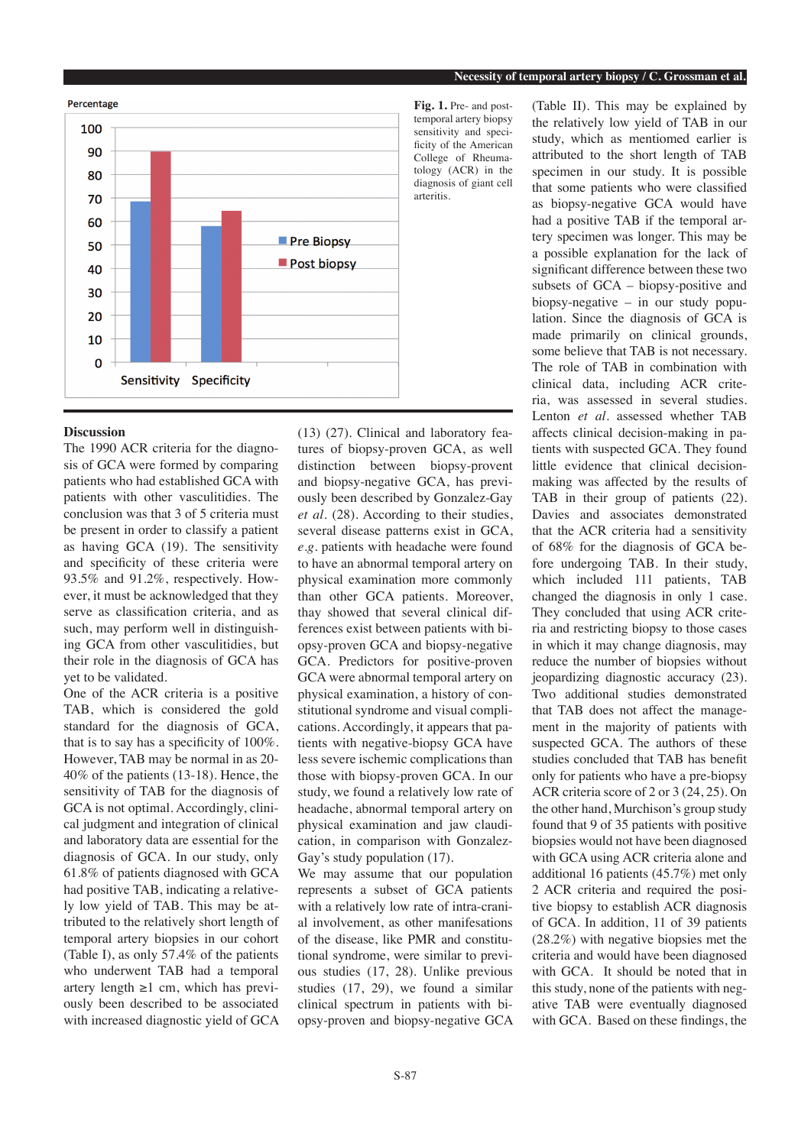

# **Discussion**

The 1990 ACR criteria for the diagnosis of GCA were formed by comparing patients who had established GCA with patients with other vasculitidies. The conclusion was that 3 of 5 criteria must be present in order to classify a patient as having GCA (19). The sensitivity and specificity of these criteria were 93.5% and 91.2%, respectively. However, it must be acknowledged that they serve as classification criteria, and as such, may perform well in distinguishing GCA from other vasculitidies, but their role in the diagnosis of GCA has yet to be validated.

One of the ACR criteria is a positive TAB, which is considered the gold standard for the diagnosis of GCA, that is to say has a specificity of 100%. However, TAB may be normal in as 20- 40% of the patients (13-18). Hence, the sensitivity of TAB for the diagnosis of GCA is not optimal. Accordingly, clinical judgment and integration of clinical and laboratory data are essential for the diagnosis of GCA. In our study, only 61.8% of patients diagnosed with GCA had positive TAB, indicating a relatively low yield of TAB. This may be attributed to the relatively short length of temporal artery biopsies in our cohort (Table I), as only 57.4% of the patients who underwent TAB had a temporal artery length  $\geq 1$  cm, which has previously been described to be associated with increased diagnostic yield of GCA

(13) (27). Clinical and laboratory features of biopsy-proven GCA, as well distinction between biopsy-provent and biopsy-negative GCA, has previously been described by Gonzalez-Gay *et al.* (28). According to their studies, several disease patterns exist in GCA, *e.g.* patients with headache were found to have an abnormal temporal artery on physical examination more commonly than other GCA patients. Moreover, thay showed that several clinical differences exist between patients with biopsy-proven GCA and biopsy-negative GCA. Predictors for positive-proven GCA were abnormal temporal artery on physical examination, a history of constitutional syndrome and visual complications. Accordingly, it appears that patients with negative-biopsy GCA have less severe ischemic complications than those with biopsy-proven GCA. In our study, we found a relatively low rate of headache, abnormal temporal artery on physical examination and jaw claudication, in comparison with Gonzalez-Gay's study population (17).

We may assume that our population represents a subset of GCA patients with a relatively low rate of intra-cranial involvement, as other manifesations of the disease, like PMR and constitutional syndrome, were similar to previous studies (17, 28). Unlike previous studies (17, 29), we found a similar clinical spectrum in patients with biopsy-proven and biopsy-negative GCA

**Fig. 1.** Pre- and posttemporal artery biopsy sensitivity and specificity of the American College of Rheumatology (ACR) in the diagnosis of giant cell arteritis.

(Table II). This may be explained by the relatively low yield of TAB in our study, which as mentiomed earlier is attributed to the short length of TAB specimen in our study. It is possible that some patients who were classified as biopsy-negative GCA would have had a positive TAB if the temporal artery specimen was longer. This may be a possible explanation for the lack of significant difference between these two subsets of GCA – biopsy-positive and biopsy-negative – in our study population. Since the diagnosis of GCA is made primarily on clinical grounds, some believe that TAB is not necessary. The role of TAB in combination with clinical data, including ACR criteria, was assessed in several studies. Lenton *et al.* assessed whether TAB affects clinical decision-making in patients with suspected GCA. They found little evidence that clinical decisionmaking was affected by the results of TAB in their group of patients (22). Davies and associates demonstrated that the ACR criteria had a sensitivity of 68% for the diagnosis of GCA before undergoing TAB. In their study, which included 111 patients, TAB changed the diagnosis in only 1 case. They concluded that using ACR criteria and restricting biopsy to those cases in which it may change diagnosis, may reduce the number of biopsies without jeopardizing diagnostic accuracy (23). Two additional studies demonstrated that TAB does not affect the management in the majority of patients with suspected GCA. The authors of these studies concluded that TAB has benefit only for patients who have a pre-biopsy ACR criteria score of 2 or 3 (24, 25). On the other hand, Murchison's group study found that 9 of 35 patients with positive biopsies would not have been diagnosed with GCA using ACR criteria alone and additional 16 patients (45.7%) met only 2 ACR criteria and required the positive biopsy to establish ACR diagnosis of GCA. In addition, 11 of 39 patients (28.2%) with negative biopsies met the criteria and would have been diagnosed with GCA. It should be noted that in this study, none of the patients with negative TAB were eventually diagnosed with GCA. Based on these findings, the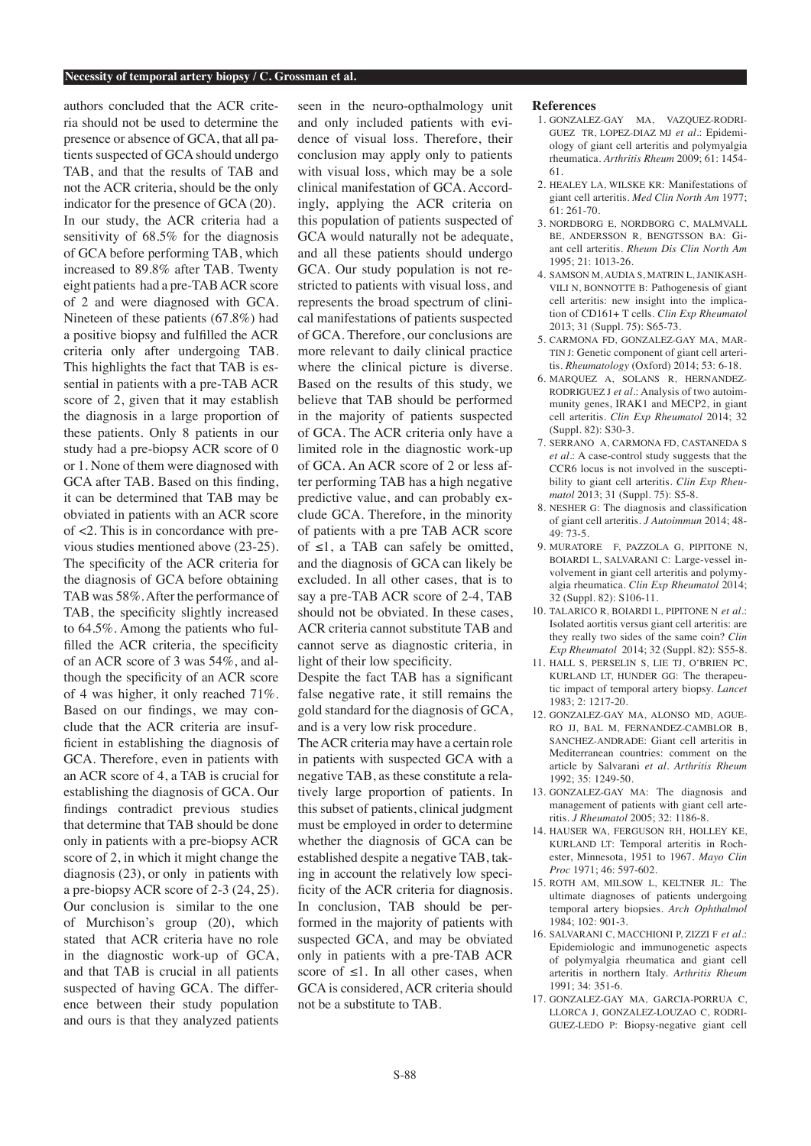#### **Necessity of temporal artery biopsy / C. Grossman et al.**

authors concluded that the ACR criteria should not be used to determine the presence or absence of GCA, that all patients suspected of GCA should undergo TAB, and that the results of TAB and not the ACR criteria, should be the only indicator for the presence of GCA (20). In our study, the ACR criteria had a sensitivity of 68.5% for the diagnosis of GCA before performing TAB, which increased to 89.8% after TAB. Twenty eight patients had a pre-TAB ACR score of 2 and were diagnosed with GCA. Nineteen of these patients (67.8%) had a positive biopsy and fulfilled the ACR criteria only after undergoing TAB. This highlights the fact that TAB is essential in patients with a pre-TAB ACR score of 2, given that it may establish the diagnosis in a large proportion of these patients. Only 8 patients in our study had a pre-biopsy ACR score of 0 or 1. None of them were diagnosed with GCA after TAB. Based on this finding, it can be determined that TAB may be obviated in patients with an ACR score of <2. This is in concordance with previous studies mentioned above (23-25). The specificity of the ACR criteria for the diagnosis of GCA before obtaining TAB was 58%. After the performance of TAB, the specificity slightly increased to 64.5%. Among the patients who fulfilled the ACR criteria, the specificity of an ACR score of 3 was 54%, and although the specificity of an ACR score of 4 was higher, it only reached 71%. Based on our findings, we may conclude that the ACR criteria are insufficient in establishing the diagnosis of GCA. Therefore, even in patients with an ACR score of 4, a TAB is crucial for establishing the diagnosis of GCA. Our findings contradict previous studies that determine that TAB should be done only in patients with a pre-biopsy ACR score of 2, in which it might change the diagnosis (23), or only in patients with a pre-biopsy ACR score of 2-3 (24, 25). Our conclusion is similar to the one of Murchison's group (20), which stated that ACR criteria have no role in the diagnostic work-up of GCA, and that TAB is crucial in all patients suspected of having GCA. The difference between their study population and ours is that they analyzed patients

seen in the neuro-opthalmology unit and only included patients with evidence of visual loss. Therefore, their conclusion may apply only to patients with visual loss, which may be a sole clinical manifestation of GCA. Accordingly, applying the ACR criteria on this population of patients suspected of GCA would naturally not be adequate. and all these patients should undergo GCA. Our study population is not restricted to patients with visual loss, and represents the broad spectrum of clinical manifestations of patients suspected of GCA. Therefore, our conclusions are more relevant to daily clinical practice where the clinical picture is diverse. Based on the results of this study, we believe that TAB should be performed in the majority of patients suspected of GCA. The ACR criteria only have a limited role in the diagnostic work-up of GCA. An ACR score of 2 or less after performing TAB has a high negative predictive value, and can probably exclude GCA. Therefore, in the minority of patients with a pre TAB ACR score of  $\leq 1$ , a TAB can safely be omitted, and the diagnosis of GCA can likely be excluded. In all other cases, that is to say a pre-TAB ACR score of 2-4, TAB should not be obviated. In these cases, ACR criteria cannot substitute TAB and cannot serve as diagnostic criteria, in light of their low specificity.

Despite the fact TAB has a significant false negative rate, it still remains the gold standard for the diagnosis of GCA, and is a very low risk procedure.

The ACR criteria may have a certain role in patients with suspected GCA with a negative TAB, as these constitute a relatively large proportion of patients. In this subset of patients, clinical judgment must be employed in order to determine whether the diagnosis of GCA can be established despite a negative TAB, taking in account the relatively low specificity of the ACR criteria for diagnosis. In conclusion, TAB should be performed in the majority of patients with suspected GCA, and may be obviated only in patients with a pre-TAB ACR score of  $\leq 1$ . In all other cases, when GCA is considered, ACR criteria should not be a substitute to TAB.

#### **References**

- 1. GONZALEZ-GAY MA, VAZQUEZ-RODRI-GUEZ TR, LOPEZ-DIAZ MJ *et al.*: Epidemiology of giant cell arteritis and polymyalgia rheumatica. *Arthritis Rheum* 2009; 61: 1454- 61.
- 2. HEALEY LA, WILSKE KR: Manifestations of giant cell arteritis. *Med Clin North Am* 1977; 61: 261-70.
- 3. NORDBORG E, NORDBORG C, MALMVALL BE, ANDERSSON R, BENGTSSON BA: Giant cell arteritis. *Rheum Dis Clin North Am* 1995; 21: 1013-26.
- 4. SAMSON M, AUDIA S, MATRIN L, JANIKASH-VILI N, BONNOTTE B: Pathogenesis of giant cell arteritis: new insight into the implication of CD161+ T cells. *Clin Exp Rheumatol* 2013; 31 (Suppl. 75): S65-73.
- 5. CARMONA FD, GONZALEZ-GAY MA, MAR-TIN J: Genetic component of giant cell arteritis. *Rheumatology* (Oxford) 2014; 53: 6-18.
- 6. MARQUEZ A, SOLANS R, HERNANDEZ-RODRIGUEZ J *et al.*: Analysis of two autoimmunity genes, IRAK1 and MECP2, in giant cell arteritis. *Clin Exp Rheumatol* 2014; 32 (Suppl. 82): S30-3.
- 7. SERRANO A, CARMONA FD, CASTANEDA S *et al.*: A case-control study suggests that the CCR6 locus is not involved in the susceptibility to giant cell arteritis. *Clin Exp Rheumatol* 2013; 31 (Suppl. 75): S5-8.
- 8. NESHER G: The diagnosis and classification of giant cell arteritis. *J Autoimmun* 2014; 48-  $49.73-5$
- 9. MURATORE F, PAZZOLA G, PIPITONE N, BOIARDI L, SALVARANI C: Large-vessel involvement in giant cell arteritis and polymyalgia rheumatica. *Clin Exp Rheumatol* 2014; 32 (Suppl. 82): S106-11.
- 10. TALARICO R, BOIARDI L, PIPITONE N *et al.*: Isolated aortitis versus giant cell arteritis: are they really two sides of the same coin? *Clin Exp Rheumatol* 2014; 32 (Suppl. 82): S55-8.
- 11. HALL S, PERSELIN S, LIE TJ, O'BRIEN PC, KURLAND LT, HUNDER GG: The therapeutic impact of temporal artery biopsy. *Lancet*  1983; 2: 1217-20.
- 12. GONZALEZ-GAY MA, ALONSO MD, AGUE-RO JJ, BAL M, FERNANDEZ-CAMBLOR B, SANCHEZ-ANDRADE: Giant cell arteritis in Mediterranean countries: comment on the article by Salvarani *et al. Arthritis Rheum* 1992; 35: 1249-50.
- 13. GONZALEZ-GAY MA: The diagnosis and management of patients with giant cell arteritis. *J Rheumatol* 2005; 32: 1186-8.
- 14. HAUSER WA, FERGUSON RH, HOLLEY KE, KURLAND LT: Temporal arteritis in Rochester, Minnesota, 1951 to 1967. *Mayo Clin Proc* 1971; 46: 597-602.
- 15. ROTH AM, MILSOW L, KELTNER JL: The ultimate diagnoses of patients undergoing temporal artery biopsies. *Arch Ophthalmol*  $1984 \cdot 102$ : 901-3.
- 16. SALVARANI C, MACCHIONI P, ZIZZI F *et al.*: Epidemiologic and immunogenetic aspects of polymyalgia rheumatica and giant cell arteritis in northern Italy. *Arthritis Rheum*  1991; 34: 351-6.
- 17. GONZALEZ-GAY MA, GARCIA-PORRUA C, LLORCA J, GONZALEZ-LOUZAO C, RODRI-GUEZ-LEDO P: Biopsy-negative giant cell